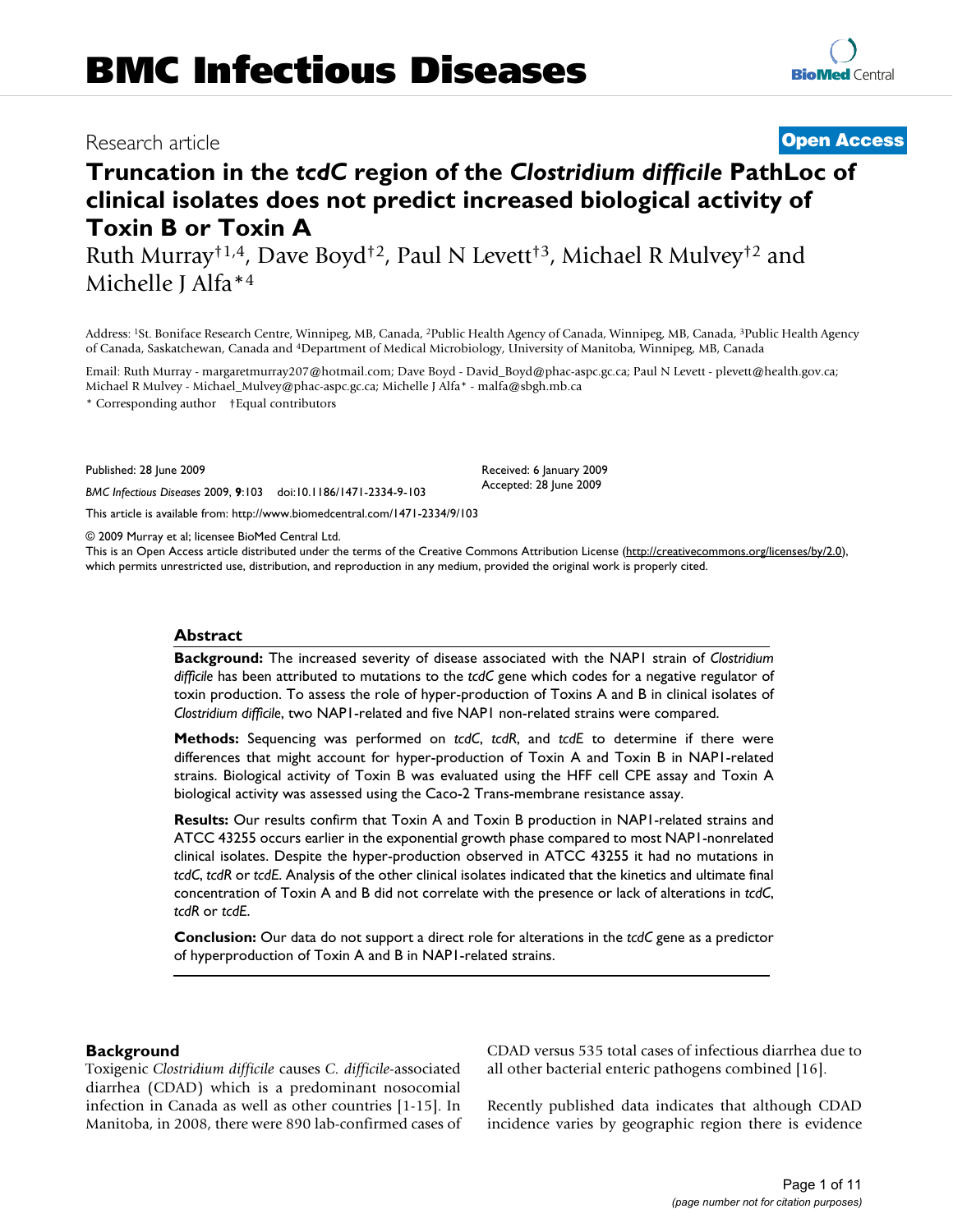**[BioMed](http://www.biomedcentral.com/)** Central

# **Truncation in the** *tcdC* **region of the** *Clostridium difficile* **PathLoc of clinical isolates does not predict increased biological activity of Toxin B or Toxin A**

Ruth Murray†1,4, Dave Boyd†2, Paul N Levett†3, Michael R Mulvey†2 and Michelle J Alfa\*4

Address: 1St. Boniface Research Centre, Winnipeg, MB, Canada, 2Public Health Agency of Canada, Winnipeg, MB, Canada, 3Public Health Agency of Canada, Saskatchewan, Canada and 4Department of Medical Microbiology, University of Manitoba, Winnipeg, MB, Canada

Email: Ruth Murray - margaretmurray207@hotmail.com; Dave Boyd - David\_Boyd@phac-aspc.gc.ca; Paul N Levett - plevett@health.gov.ca; Michael R Mulvey - Michael\_Mulvey@phac-aspc.gc.ca; Michelle J Alfa\* - malfa@sbgh.mb.ca

\* Corresponding author †Equal contributors

Published: 28 June 2009

*BMC Infectious Diseases* 2009, **9**:103 doi:10.1186/1471-2334-9-103

[This article is available from: http://www.biomedcentral.com/1471-2334/9/103](http://www.biomedcentral.com/1471-2334/9/103)

© 2009 Murray et al; licensee BioMed Central Ltd.

This is an Open Access article distributed under the terms of the Creative Commons Attribution License [\(http://creativecommons.org/licenses/by/2.0\)](http://creativecommons.org/licenses/by/2.0), which permits unrestricted use, distribution, and reproduction in any medium, provided the original work is properly cited.

Received: 6 January 2009 Accepted: 28 June 2009

#### **Abstract**

**Background:** The increased severity of disease associated with the NAP1 strain of *Clostridium difficile* has been attributed to mutations to the *tcdC* gene which codes for a negative regulator of toxin production. To assess the role of hyper-production of Toxins A and B in clinical isolates of *Clostridium difficile*, two NAP1-related and five NAP1 non-related strains were compared.

**Methods:** Sequencing was performed on *tcdC*, *tcdR*, and *tcdE* to determine if there were differences that might account for hyper-production of Toxin A and Toxin B in NAP1-related strains. Biological activity of Toxin B was evaluated using the HFF cell CPE assay and Toxin A biological activity was assessed using the Caco-2 Trans-membrane resistance assay.

**Results:** Our results confirm that Toxin A and Toxin B production in NAP1-related strains and ATCC 43255 occurs earlier in the exponential growth phase compared to most NAP1-nonrelated clinical isolates. Despite the hyper-production observed in ATCC 43255 it had no mutations in *tcdC*, *tcdR* or *tcdE*. Analysis of the other clinical isolates indicated that the kinetics and ultimate final concentration of Toxin A and B did not correlate with the presence or lack of alterations in *tcdC*, *tcdR* or *tcdE*.

**Conclusion:** Our data do not support a direct role for alterations in the *tcdC* gene as a predictor of hyperproduction of Toxin A and B in NAP1-related strains.

#### **Background**

Toxigenic *Clostridium difficile* causes *C. difficile*-associated diarrhea (CDAD) which is a predominant nosocomial infection in Canada as well as other countries [1-15]. In Manitoba, in 2008, there were 890 lab-confirmed cases of CDAD versus 535 total cases of infectious diarrhea due to all other bacterial enteric pathogens combined [16].

Recently published data indicates that although CDAD incidence varies by geographic region there is evidence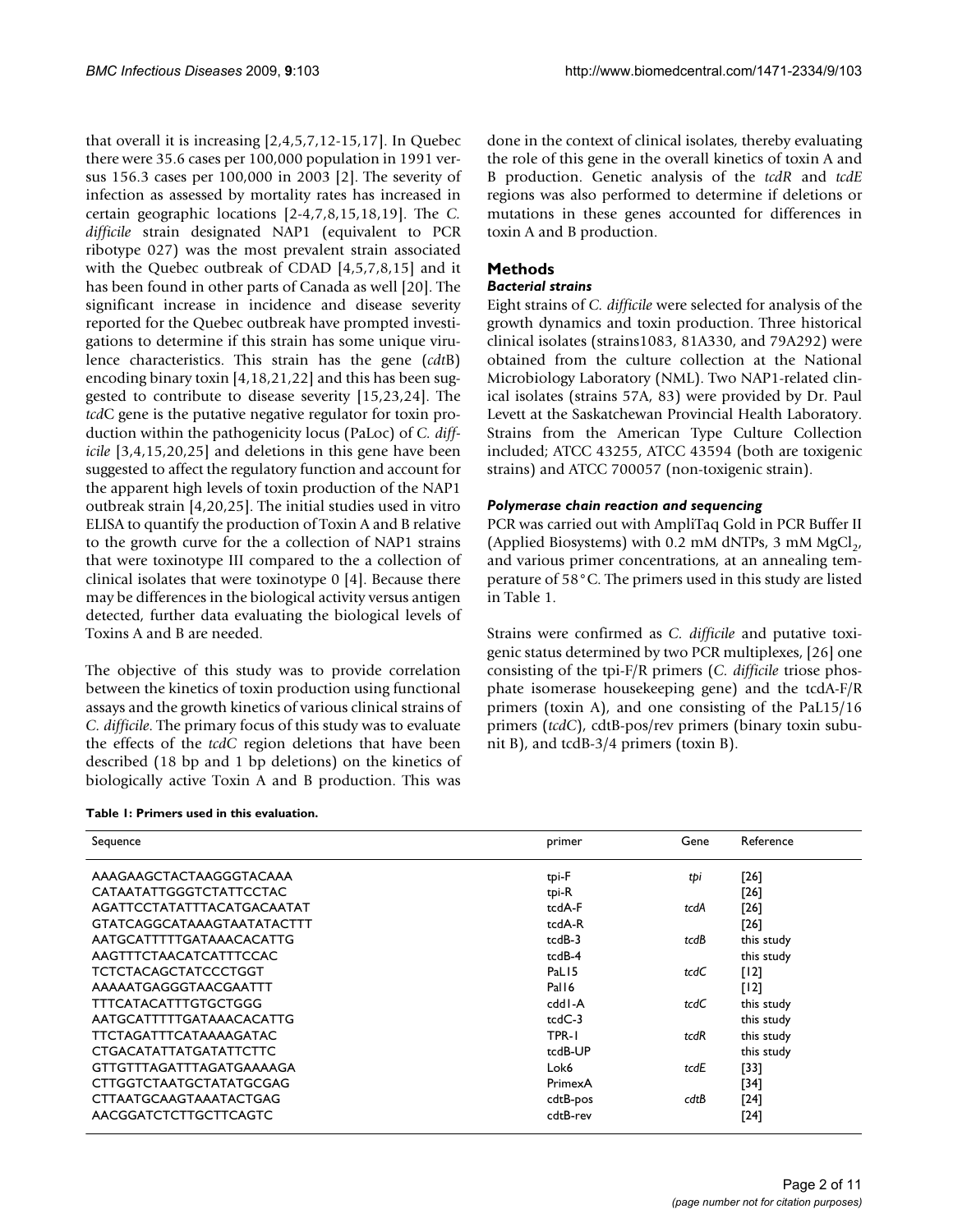that overall it is increasing [2,4,5,7,12-15[,17](#page-9-0)]. In Quebec there were 35.6 cases per 100,000 population in 1991 versus 156.3 cases per 100,000 in 2003 [2]. The severity of infection as assessed by mortality rates has increased in certain geographic locations [2-4,7,8,15,18,19]. The *C. difficile* strain designated NAP1 (equivalent to PCR ribotype 027) was the most prevalent strain associated with the Quebec outbreak of CDAD [4,5,7,8,15] and it has been found in other parts of Canada as well [20]. The significant increase in incidence and disease severity reported for the Quebec outbreak have prompted investigations to determine if this strain has some unique virulence characteristics. This strain has the gene (*cdt*B) encoding binary toxin [4,18,21,22] and this has been suggested to contribute to disease severity [15,23,24]. The *tcd*C gene is the putative negative regulator for toxin production within the pathogenicity locus (PaLoc) of *C. difficile* [3,4,15,20,25] and deletions in this gene have been suggested to affect the regulatory function and account for the apparent high levels of toxin production of the NAP1 outbreak strain [4,20,25]. The initial studies used in vitro ELISA to quantify the production of Toxin A and B relative to the growth curve for the a collection of NAP1 strains that were toxinotype III compared to the a collection of clinical isolates that were toxinotype 0 [4]. Because there may be differences in the biological activity versus antigen detected, further data evaluating the biological levels of Toxins A and B are needed.

The objective of this study was to provide correlation between the kinetics of toxin production using functional assays and the growth kinetics of various clinical strains of *C. difficile*. The primary focus of this study was to evaluate the effects of the *tcdC* region deletions that have been described (18 bp and 1 bp deletions) on the kinetics of biologically active Toxin A and B production. This was

**Table 1: Primers used in this evaluation.**

done in the context of clinical isolates, thereby evaluating the role of this gene in the overall kinetics of toxin A and B production. Genetic analysis of the *tcdR* and *tcdE* regions was also performed to determine if deletions or mutations in these genes accounted for differences in toxin A and B production.

# **Methods**

#### *Bacterial strains*

Eight strains of *C. difficile* were selected for analysis of the growth dynamics and toxin production. Three historical clinical isolates (strains1083, 81A330, and 79A292) were obtained from the culture collection at the National Microbiology Laboratory (NML). Two NAP1-related clinical isolates (strains 57A, 83) were provided by Dr. Paul Levett at the Saskatchewan Provincial Health Laboratory. Strains from the American Type Culture Collection included; ATCC 43255, ATCC 43594 (both are toxigenic strains) and ATCC 700057 (non-toxigenic strain).

#### *Polymerase chain reaction and sequencing*

PCR was carried out with AmpliTaq Gold in PCR Buffer II (Applied Biosystems) with 0.2 mM dNTPs, 3 mM  $MgCl<sub>2</sub>$ , and various primer concentrations, at an annealing temperature of 58°C. The primers used in this study are listed in Table 1.

Strains were confirmed as *C. difficile* and putative toxigenic status determined by two PCR multiplexes, [26] one consisting of the tpi-F/R primers (*C. difficile* triose phosphate isomerase housekeeping gene) and the tcdA-F/R primers (toxin A), and one consisting of the PaL15/16 primers (*tcdC*), cdtB-pos/rev primers (binary toxin subunit B), and tcdB-3/4 primers (toxin B).

| Sequence                          | primer            | Gene | Reference  |
|-----------------------------------|-------------------|------|------------|
| AAAGAAGCTACTAAGGGTACAAA           | tpi-F             | tþi  | $[26]$     |
| CATAATATTGGGTCTATTCCTAC           | tpi-R             |      | $[26]$     |
| AGATTCCTATATTTACATGACAATAT        | tcdA-F            | tcdA | $[26]$     |
| <b>GTATCAGGCATAAAGTAATATACTTT</b> | tcdA-R            |      | $[26]$     |
| AATGCATTTTTGATAAACACATTG          | tcdB-3            | tcdB | this study |
| AAGTTTCTAACATCATTTCCAC            | tcdB-4            |      | this study |
| <b>TCTCTACAGCTATCCCTGGT</b>       | PaL <sub>15</sub> | tcdC | [12]       |
| AAAAATGAGGGTAACGAATTT             | Pal <sub>16</sub> |      | [12]       |
| <b>TTTCATACATTTGTGCTGGG</b>       | cdd I-A           | tcdC | this study |
| AATGCATTTTTGATAAACACATTG          | $tcdC-3$          |      | this study |
| TTCTAGATTTCATAAAAGATAC            | TPR-1             | tcdR | this study |
| <b>CTGACATATTATGATATTCTTC</b>     | tcdB-UP           |      | this study |
| GTTGTTTAGATTTAGATGAAAAGA          | Lok6              | tcdE | [33]       |
| CTTGGTCTAATGCTATATGCGAG           | PrimexA           |      | [34]       |
| CTTAATGCAAGTAAATACTGAG            | cdtB-pos          | cdtB | $[24]$     |
| AACGGATCTCTTGCTTCAGTC             | cdtB-rev          |      | [24]       |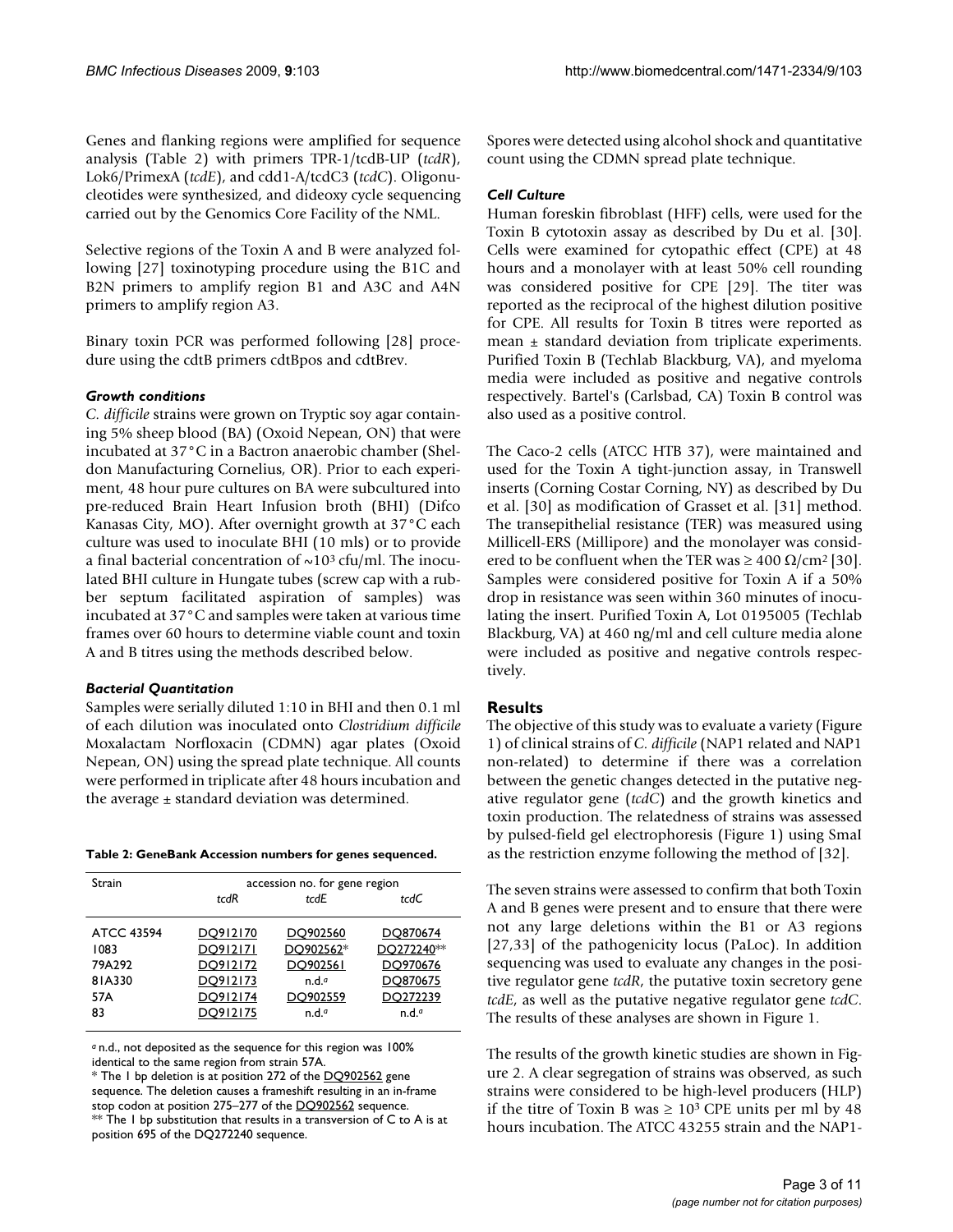Genes and flanking regions were amplified for sequence analysis (Table 2) with primers TPR-1/tcdB-UP (*tcdR*), Lok6/PrimexA (*tcdE*), and cdd1-A/tcdC3 (*tcdC*). Oligonucleotides were synthesized, and dideoxy cycle sequencing carried out by the Genomics Core Facility of the NML.

Selective regions of the Toxin A and B were analyzed following [27] toxinotyping procedure using the B1C and B2N primers to amplify region B1 and A3C and A4N primers to amplify region A3.

Binary toxin PCR was performed following [28] procedure using the cdtB primers cdtBpos and cdtBrev.

#### *Growth conditions*

*C. difficile* strains were grown on Tryptic soy agar containing 5% sheep blood (BA) (Oxoid Nepean, ON) that were incubated at 37°C in a Bactron anaerobic chamber (Sheldon Manufacturing Cornelius, OR). Prior to each experiment, 48 hour pure cultures on BA were subcultured into pre-reduced Brain Heart Infusion broth (BHI) (Difco Kanasas City, MO). After overnight growth at 37°C each culture was used to inoculate BHI (10 mls) or to provide a final bacterial concentration of  $\sim 10^3$  cfu/ml. The inoculated BHI culture in Hungate tubes (screw cap with a rubber septum facilitated aspiration of samples) was incubated at 37°C and samples were taken at various time frames over 60 hours to determine viable count and toxin A and B titres using the methods described below.

# *Bacterial Quantitation*

Samples were serially diluted 1:10 in BHI and then 0.1 ml of each dilution was inoculated onto *Clostridium difficile* Moxalactam Norfloxacin (CDMN) agar plates (Oxoid Nepean, ON) using the spread plate technique. All counts were performed in triplicate after 48 hours incubation and the average  $\pm$  standard deviation was determined.

|  |  |  | Table 2: GeneBank Accession numbers for genes sequenced. |
|--|--|--|----------------------------------------------------------|
|  |  |  |                                                          |

| Strain             | accession no. for gene region |                   |                        |  |  |
|--------------------|-------------------------------|-------------------|------------------------|--|--|
|                    | tcdR                          | tcdE              | tcdC                   |  |  |
|                    |                               |                   |                        |  |  |
| ATCC 43594         | DO912170                      | DQ902560          | DO870674               |  |  |
| 1083               | DO912171                      | DO902562*         | DO272240 <sup>**</sup> |  |  |
| 79A <sub>292</sub> | DO912172                      | DO902561          | DO970676               |  |  |
| 81A330             | DO912173                      | n.d. <sup>a</sup> | DO870675               |  |  |
| 57A                | DO912174                      | DO902559          | DO272239               |  |  |
| 83                 | DO912175                      | n.d. <sup>a</sup> | n.d. <sup>a</sup>      |  |  |
|                    |                               |                   |                        |  |  |

*<sup>a</sup>*n.d., not deposited as the sequence for this region was 100% identical to the same region from strain 57A.

\* The 1 bp deletion is at position 272 of the [DQ902562](http://www.ncbi.nih.gov/entrez/query.fcgi?db=Nucleotide&cmd=search&term=DQ902562) gene sequence. The deletion causes a frameshift resulting in an in-frame stop codon at position 275–277 of the [DQ902562](http://www.ncbi.nih.gov/entrez/query.fcgi?db=Nucleotide&cmd=search&term=DQ902562) sequence. \*\* The I bp substitution that results in a transversion of C to A is at position 695 of the DQ272240 sequence.

Spores were detected using alcohol shock and quantitative count using the CDMN spread plate technique.

#### *Cell Culture*

Human foreskin fibroblast (HFF) cells, were used for the Toxin B cytotoxin assay as described by Du et al. [30]. Cells were examined for cytopathic effect (CPE) at 48 hours and a monolayer with at least 50% cell rounding was considered positive for CPE [29]. The titer was reported as the reciprocal of the highest dilution positive for CPE. All results for Toxin B titres were reported as mean  $\pm$  standard deviation from triplicate experiments. Purified Toxin B (Techlab Blackburg, VA), and myeloma media were included as positive and negative controls respectively. Bartel's (Carlsbad, CA) Toxin B control was also used as a positive control.

The Caco-2 cells (ATCC HTB 37), were maintained and used for the Toxin A tight-junction assay, in Transwell inserts (Corning Costar Corning, NY) as described by Du et al. [30] as modification of Grasset et al. [31] method. The transepithelial resistance (TER) was measured using Millicell-ERS (Millipore) and the monolayer was considered to be confluent when the TER was  $\geq 400 \Omega/cm^2$  [30]. Samples were considered positive for Toxin A if a 50% drop in resistance was seen within 360 minutes of inoculating the insert. Purified Toxin A, Lot 0195005 (Techlab Blackburg, VA) at 460 ng/ml and cell culture media alone were included as positive and negative controls respectively.

# **Results**

The objective of this study was to evaluate a variety (Figure 1) of clinical strains of *C. difficile* (NAP1 related and NAP1 non-related) to determine if there was a correlation between the genetic changes detected in the putative negative regulator gene (*tcdC*) and the growth kinetics and toxin production. The relatedness of strains was assessed by pulsed-field gel electrophoresis (Figure 1) using SmaI as the restriction enzyme following the method of [32].

The seven strains were assessed to confirm that both Toxin A and B genes were present and to ensure that there were not any large deletions within the B1 or A3 regions [27,33] of the pathogenicity locus (PaLoc). In addition sequencing was used to evaluate any changes in the positive regulator gene *tcdR*, the putative toxin secretory gene *tcdE*, as well as the putative negative regulator gene *tcdC*. The results of these analyses are shown in Figure 1.

The results of the growth kinetic studies are shown in Figure 2. A clear segregation of strains was observed, as such strains were considered to be high-level producers (HLP) if the titre of Toxin B was  $\geq 10^3$  CPE units per ml by 48 hours incubation. The ATCC 43255 strain and the NAP1-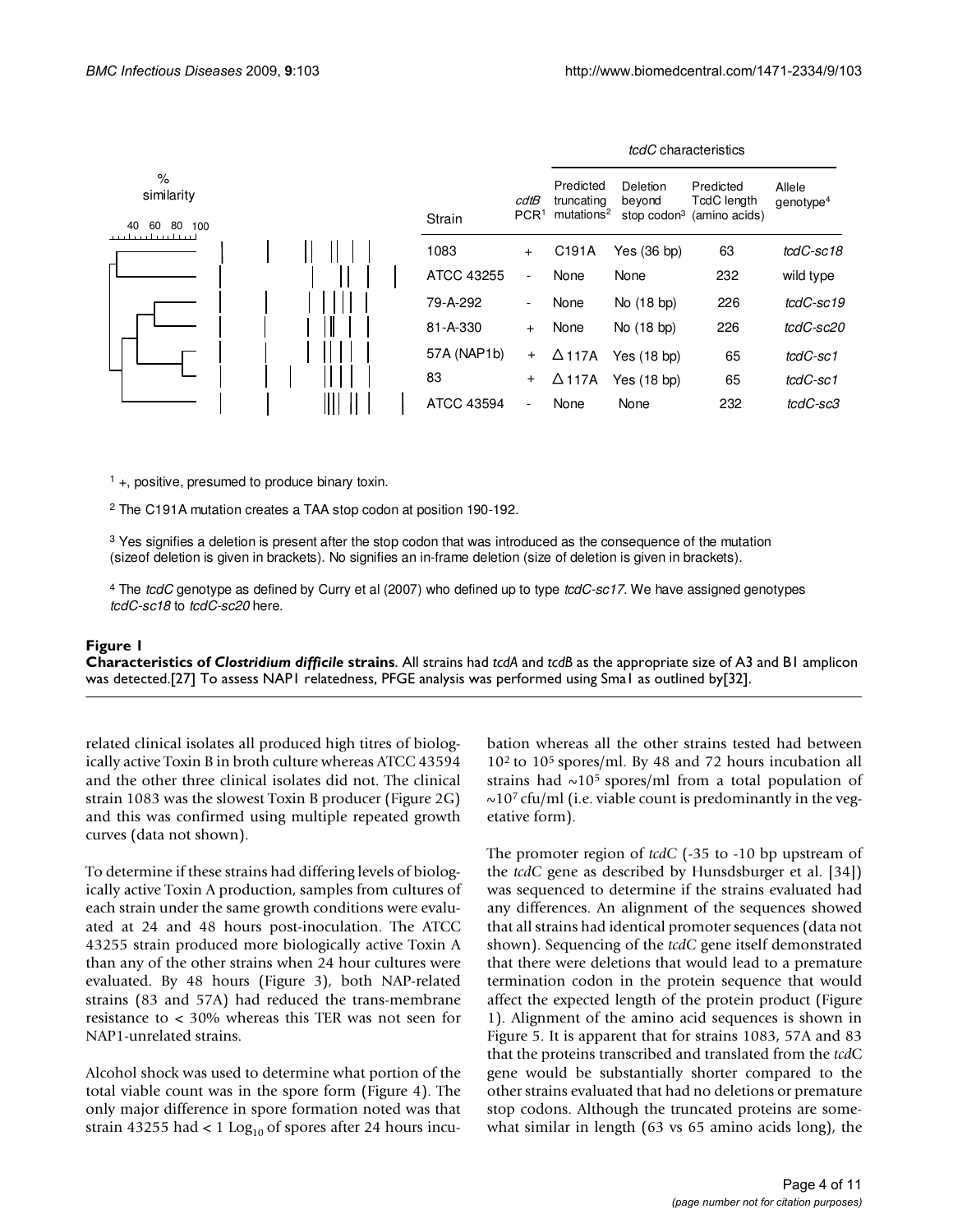

tcdC characteristics

 $<sup>1</sup>$  +, positive, presumed to produce binary toxin.</sup>

<sup>2</sup> The C191A mutation creates a TAA stop codon at position 190-192.

<sup>3</sup> Yes signifies a deletion is present after the stop codon that was introduced as the consequence of the mutation (sizeof deletion is given in brackets). No signifies an in-frame deletion (size of deletion is given in brackets).

<sup>4</sup> The tcdC genotype as defined by Curry et al (2007) who defined up to type tcdC-sc17. We have assigned genotypes tcdC-sc18 to tcdC-sc20 here.

#### Figure 1

**Characteristics of** *Clostridium difficile* **strains**. All strains had *tcdA* and *tcdB* as the appropriate size of A3 and B1 amplicon was detected.[27] To assess NAP1 relatedness, PFGE analysis was performed using Sma1 as outlined by[32].

related clinical isolates all produced high titres of biologically active Toxin B in broth culture whereas ATCC 43594 and the other three clinical isolates did not. The clinical strain 1083 was the slowest Toxin B producer (Figure 2G) and this was confirmed using multiple repeated growth curves (data not shown).

To determine if these strains had differing levels of biologically active Toxin A production, samples from cultures of each strain under the same growth conditions were evaluated at 24 and 48 hours post-inoculation. The ATCC 43255 strain produced more biologically active Toxin A than any of the other strains when 24 hour cultures were evaluated. By 48 hours (Figure 3), both NAP-related strains (83 and 57A) had reduced the trans-membrane resistance to < 30% whereas this TER was not seen for NAP1-unrelated strains.

Alcohol shock was used to determine what portion of the total viable count was in the spore form (Figure 4). The only major difference in spore formation noted was that strain 43255 had  $< 1$  Log<sub>10</sub> of spores after 24 hours incubation whereas all the other strains tested had between 102 to 105 spores/ml. By 48 and 72 hours incubation all strains had  $\sim$ 10<sup>5</sup> spores/ml from a total population of  $\sim$ 10<sup>7</sup> cfu/ml (i.e. viable count is predominantly in the vegetative form).

The promoter region of *tcdC* (-35 to -10 bp upstream of the *tcdC* gene as described by Hunsdsburger et al. [34]) was sequenced to determine if the strains evaluated had any differences. An alignment of the sequences showed that all strains had identical promoter sequences (data not shown). Sequencing of the *tcdC* gene itself demonstrated that there were deletions that would lead to a premature termination codon in the protein sequence that would affect the expected length of the protein product (Figure 1). Alignment of the amino acid sequences is shown in Figure 5. It is apparent that for strains 1083, 57A and 83 that the proteins transcribed and translated from the *tcd*C gene would be substantially shorter compared to the other strains evaluated that had no deletions or premature stop codons. Although the truncated proteins are somewhat similar in length (63 vs 65 amino acids long), the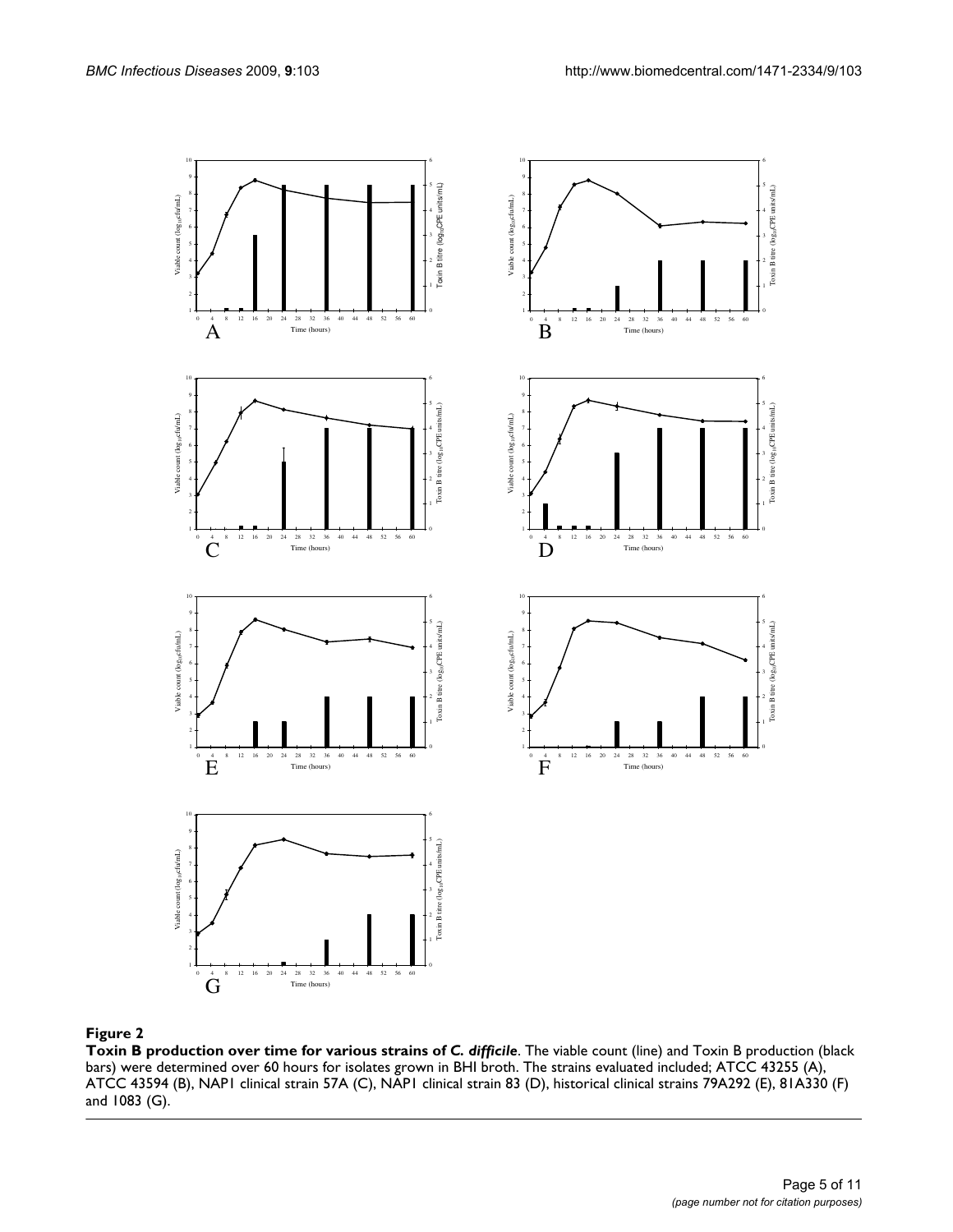

#### Figure 2

**Toxin B production over time for various strains of** *C. difficile*. The viable count (line) and Toxin B production (black bars) were determined over 60 hours for isolates grown in BHI broth. The strains evaluated included; ATCC 43255 (A), ATCC 43594 (B), NAP1 clinical strain 57A (C), NAP1 clinical strain 83 (D), historical clinical strains 79A292 (E), 81A330 (F) and 1083 (G).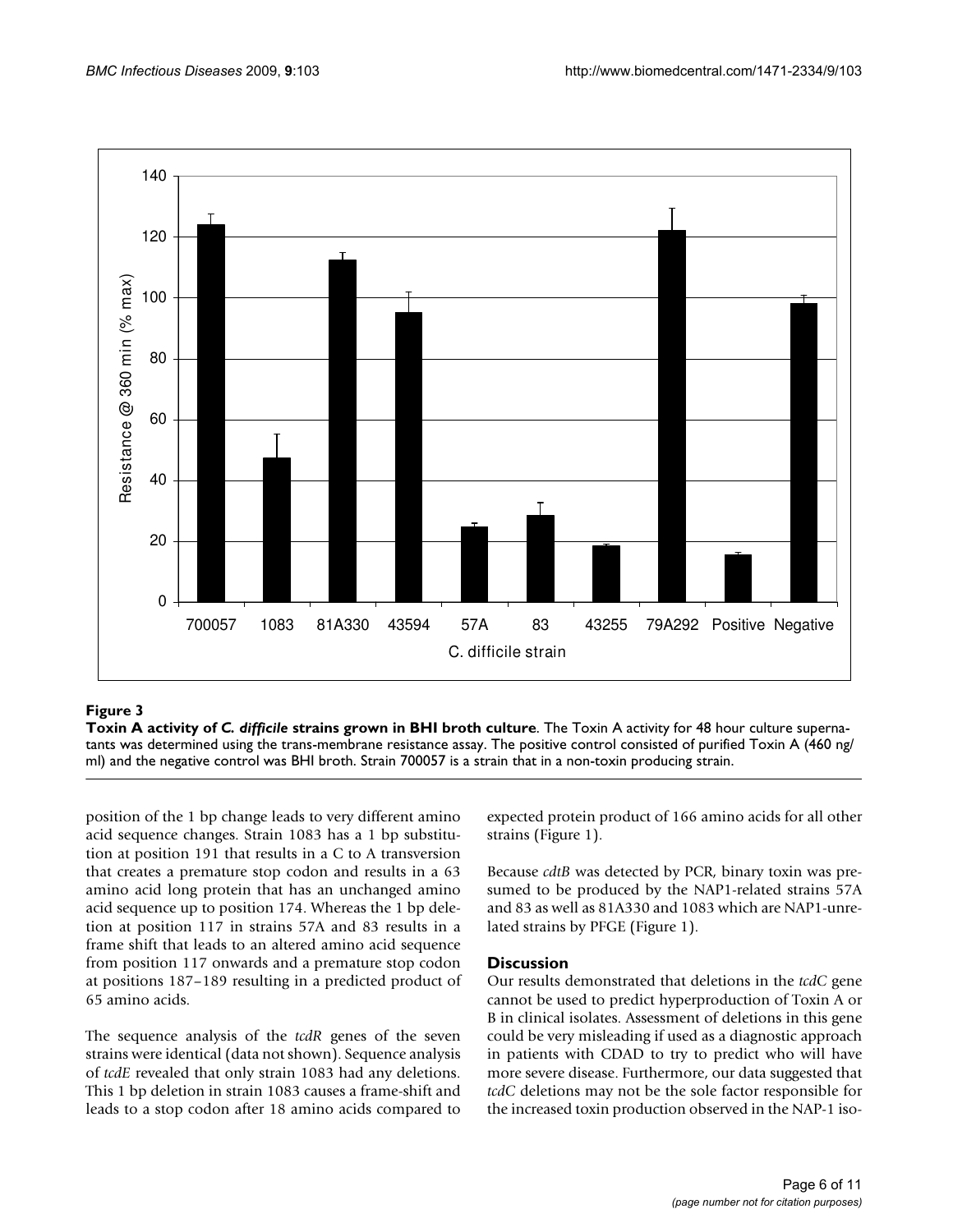

# Figure 3

**Toxin A activity of** *C. difficile* **strains grown in BHI broth culture**. The Toxin A activity for 48 hour culture supernatants was determined using the trans-membrane resistance assay. The positive control consisted of purified Toxin A (460 ng/ ml) and the negative control was BHI broth. Strain 700057 is a strain that in a non-toxin producing strain.

position of the 1 bp change leads to very different amino acid sequence changes. Strain 1083 has a 1 bp substitution at position 191 that results in a C to A transversion that creates a premature stop codon and results in a 63 amino acid long protein that has an unchanged amino acid sequence up to position 174. Whereas the 1 bp deletion at position 117 in strains 57A and 83 results in a frame shift that leads to an altered amino acid sequence from position 117 onwards and a premature stop codon at positions 187–189 resulting in a predicted product of 65 amino acids.

The sequence analysis of the *tcdR* genes of the seven strains were identical (data not shown). Sequence analysis of *tcdE* revealed that only strain 1083 had any deletions. This 1 bp deletion in strain 1083 causes a frame-shift and leads to a stop codon after 18 amino acids compared to expected protein product of 166 amino acids for all other strains (Figure 1).

Because *cdtB* was detected by PCR, binary toxin was presumed to be produced by the NAP1-related strains 57A and 83 as well as 81A330 and 1083 which are NAP1-unrelated strains by PFGE (Figure 1).

#### **Discussion**

Our results demonstrated that deletions in the *tcdC* gene cannot be used to predict hyperproduction of Toxin A or B in clinical isolates. Assessment of deletions in this gene could be very misleading if used as a diagnostic approach in patients with CDAD to try to predict who will have more severe disease. Furthermore, our data suggested that *tcdC* deletions may not be the sole factor responsible for the increased toxin production observed in the NAP-1 iso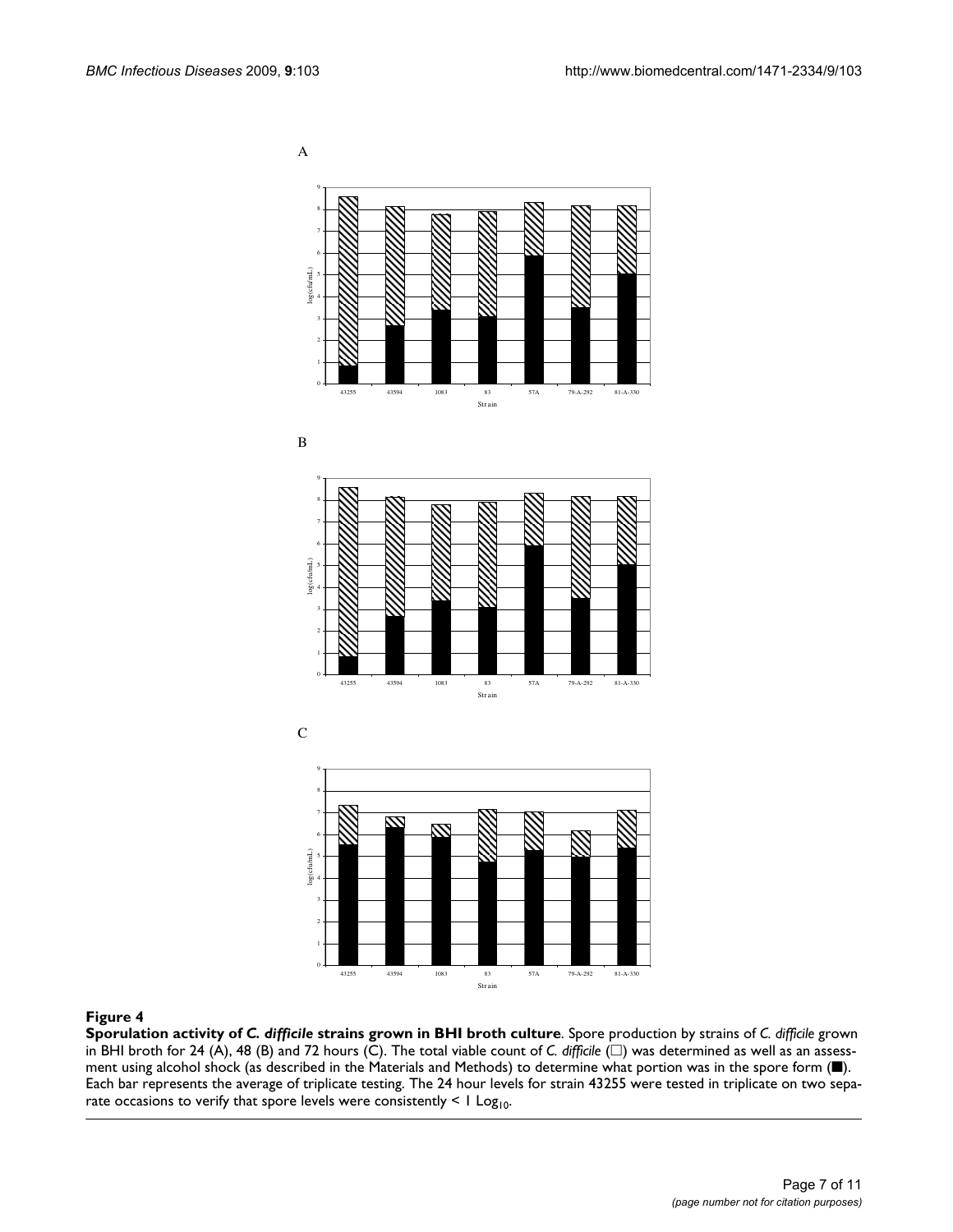A











#### **Figure 4**

**Sporulation activity of** *C. difficile* **strains grown in BHI broth culture**. Spore production by strains of *C. difficile* grown in BHI broth for 24 (A), 48 (B) and 72 hours (C). The total viable count of *C. difficile* ( $\Box$ ) was determined as well as an assessment using alcohol shock (as described in the Materials and Methods) to determine what portion was in the spore form (■). Each bar represents the average of triplicate testing. The 24 hour levels for strain 43255 were tested in triplicate on two separate occasions to verify that spore levels were consistently  $\leq 1$  Log<sub>10</sub>.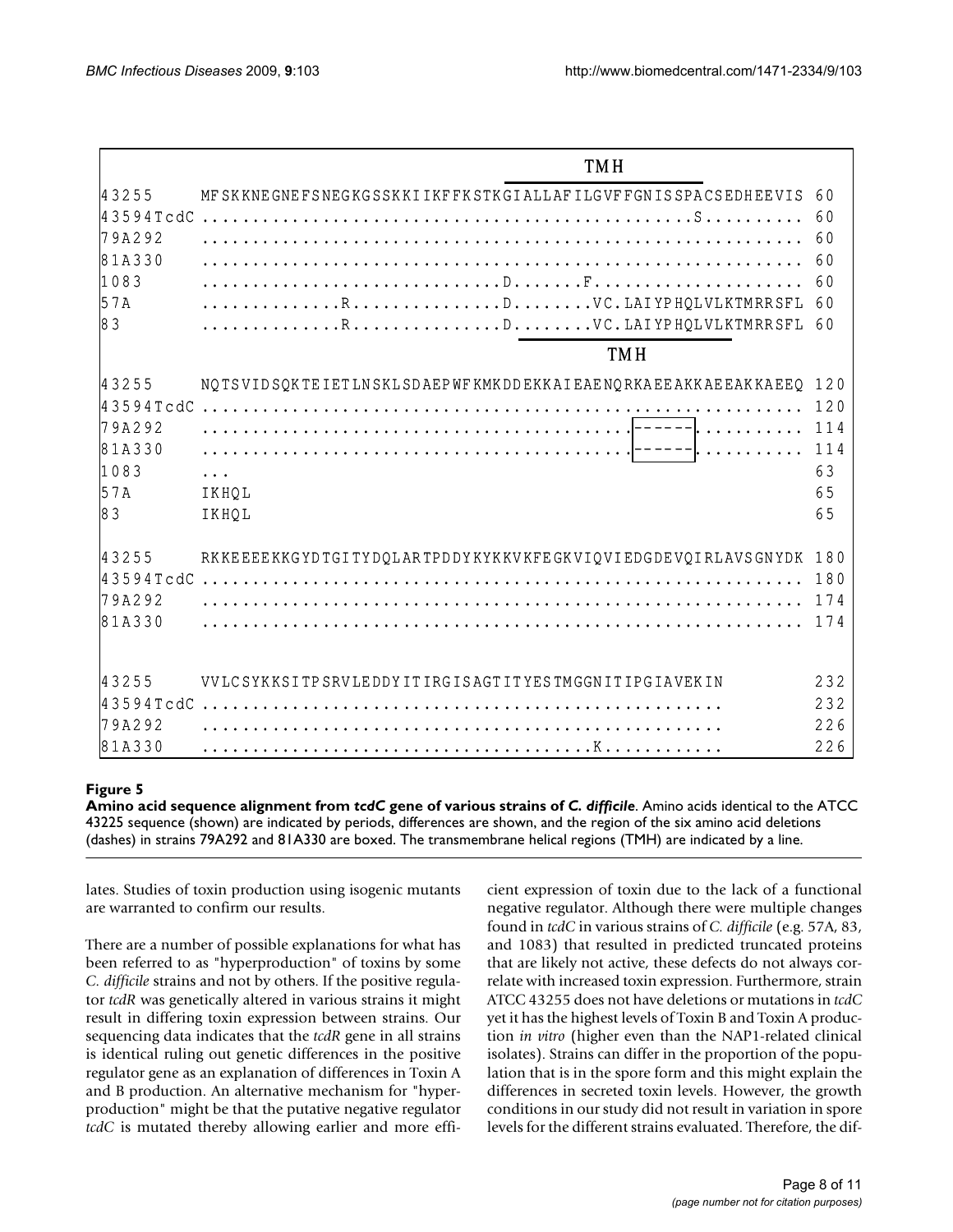|           | <b>TMH</b>                                                      |     |
|-----------|-----------------------------------------------------------------|-----|
| 43255     | MF SKKNE GNEFSNEGKGSSKKI IKFFKSTKGIALLAFILGVFFGNISSPACSEDHEEVIS | 60  |
| 43594TcdC |                                                                 | 60  |
| $79A292$  |                                                                 | 60  |
| 81A330    |                                                                 | 60  |
| 1083      |                                                                 | 60  |
| 57A       | RDVC.LAIYPHOLVLKTMRRSFL                                         | 60  |
| l8 3      | RDVC.LAIYPHQLVLKTMRRSFL                                         | 60  |
|           | <b>TMH</b>                                                      |     |
| 43255     | NOTSVIDSOKTEIETLNSKLSDAEPWFKMKDDEKKAIEAENORKAEEAKKAEEAKKAEEO    | 120 |
|           |                                                                 | 120 |
| $79A292$  |                                                                 | 114 |
| 81A330    |                                                                 | 114 |
| 1083      |                                                                 | 63  |
| 57A       | IKHQL                                                           | 65  |
| 83        | IKHQL                                                           | 65  |
| 43255     | RKKEEEEKKGYDTGITYDQLARTPDDYKYKKVKFEGKVIQVIEDGDEVQIRLAVSGNYDK    | 180 |
| 43594TcdC |                                                                 | 180 |
| $79A292$  |                                                                 | 174 |
| 81A330    |                                                                 | 174 |
| 43255     | VVLCSYKKSITPSRVLEDDYITIRGISAGTITYESTMGGNITIPGIAVEKIN            | 232 |
| 43594TcdC |                                                                 | 232 |
| $79A292$  |                                                                 | 226 |
| 81A330    |                                                                 | 226 |

# **Figure 5**

**Amino acid sequence alignment from** *tcdC* **gene of various strains of** *C. difficile*. Amino acids identical to the ATCC 43225 sequence (shown) are indicated by periods, differences are shown, and the region of the six amino acid deletions (dashes) in strains 79A292 and 81A330 are boxed. The transmembrane helical regions (TMH) are indicated by a line.

lates. Studies of toxin production using isogenic mutants are warranted to confirm our results.

There are a number of possible explanations for what has been referred to as "hyperproduction" of toxins by some *C. difficile* strains and not by others. If the positive regulator *tcdR* was genetically altered in various strains it might result in differing toxin expression between strains. Our sequencing data indicates that the *tcdR* gene in all strains is identical ruling out genetic differences in the positive regulator gene as an explanation of differences in Toxin A and B production. An alternative mechanism for "hyperproduction" might be that the putative negative regulator *tcdC* is mutated thereby allowing earlier and more efficient expression of toxin due to the lack of a functional negative regulator. Although there were multiple changes found in *tcdC* in various strains of *C. difficile* (e.g. 57A, 83, and 1083) that resulted in predicted truncated proteins that are likely not active, these defects do not always correlate with increased toxin expression. Furthermore, strain ATCC 43255 does not have deletions or mutations in *tcdC* yet it has the highest levels of Toxin B and Toxin A production *in vitro* (higher even than the NAP1-related clinical isolates). Strains can differ in the proportion of the population that is in the spore form and this might explain the differences in secreted toxin levels. However, the growth conditions in our study did not result in variation in spore levels for the different strains evaluated. Therefore, the dif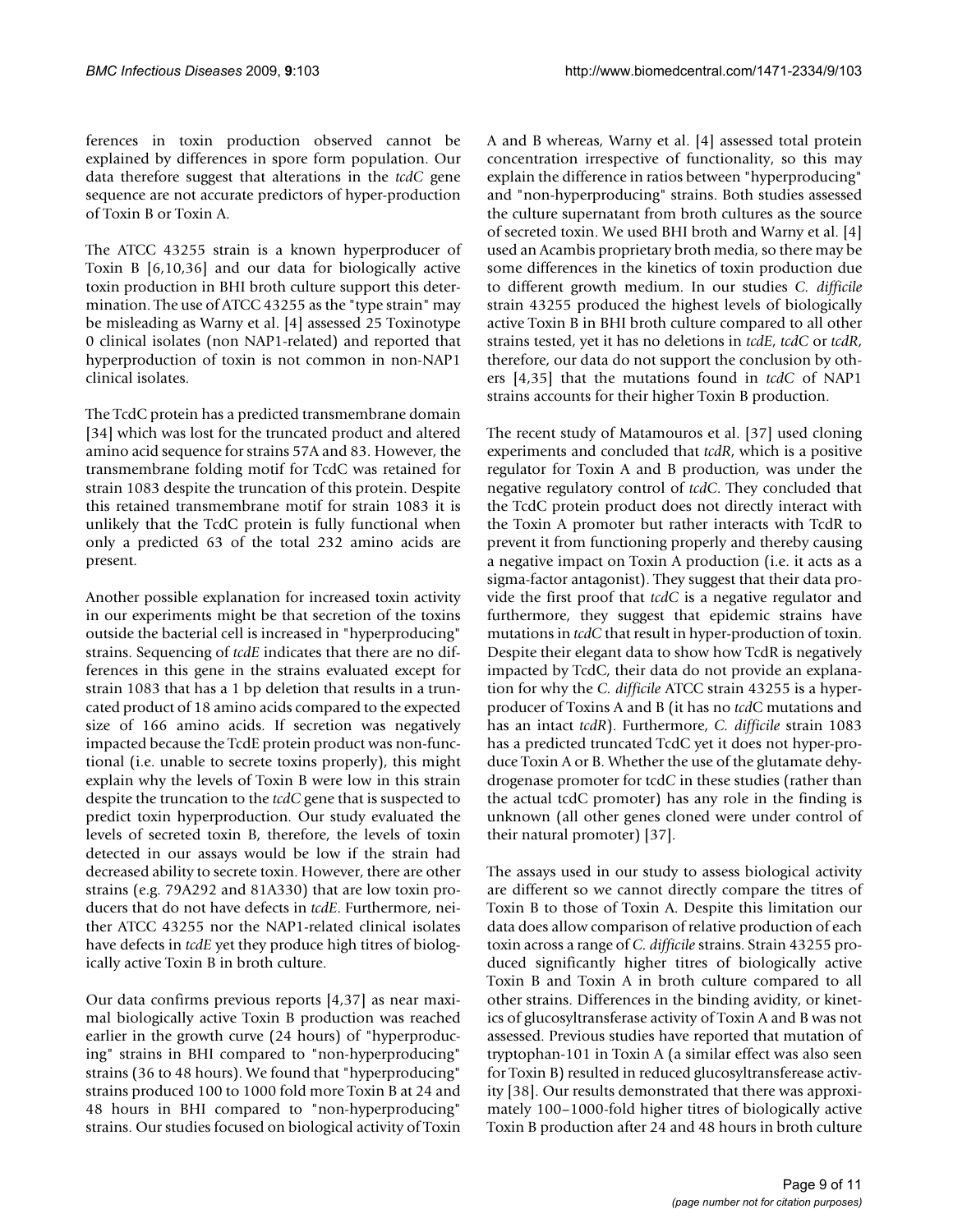ferences in toxin production observed cannot be explained by differences in spore form population. Our data therefore suggest that alterations in the *tcdC* gene sequence are not accurate predictors of hyper-production of Toxin B or Toxin A.

The ATCC 43255 strain is a known hyperproducer of Toxin B [6,10,36] and our data for biologically active toxin production in BHI broth culture support this determination. The use of ATCC 43255 as the "type strain" may be misleading as Warny et al. [4] assessed 25 Toxinotype 0 clinical isolates (non NAP1-related) and reported that hyperproduction of toxin is not common in non-NAP1 clinical isolates.

The TcdC protein has a predicted transmembrane domain [34] which was lost for the truncated product and altered amino acid sequence for strains 57A and 83. However, the transmembrane folding motif for TcdC was retained for strain 1083 despite the truncation of this protein. Despite this retained transmembrane motif for strain 1083 it is unlikely that the TcdC protein is fully functional when only a predicted 63 of the total 232 amino acids are present.

Another possible explanation for increased toxin activity in our experiments might be that secretion of the toxins outside the bacterial cell is increased in "hyperproducing" strains. Sequencing of *tcdE* indicates that there are no differences in this gene in the strains evaluated except for strain 1083 that has a 1 bp deletion that results in a truncated product of 18 amino acids compared to the expected size of 166 amino acids. If secretion was negatively impacted because the TcdE protein product was non-functional (i.e. unable to secrete toxins properly), this might explain why the levels of Toxin B were low in this strain despite the truncation to the *tcdC* gene that is suspected to predict toxin hyperproduction. Our study evaluated the levels of secreted toxin B, therefore, the levels of toxin detected in our assays would be low if the strain had decreased ability to secrete toxin. However, there are other strains (e.g. 79A292 and 81A330) that are low toxin producers that do not have defects in *tcdE*. Furthermore, neither ATCC 43255 nor the NAP1-related clinical isolates have defects in *tcdE* yet they produce high titres of biologically active Toxin B in broth culture.

Our data confirms previous reports [4[,37\]](#page-10-0) as near maximal biologically active Toxin B production was reached earlier in the growth curve (24 hours) of "hyperproducing" strains in BHI compared to "non-hyperproducing" strains (36 to 48 hours). We found that "hyperproducing" strains produced 100 to 1000 fold more Toxin B at 24 and 48 hours in BHI compared to "non-hyperproducing" strains. Our studies focused on biological activity of Toxin

A and B whereas, Warny et al. [4] assessed total protein concentration irrespective of functionality, so this may explain the difference in ratios between "hyperproducing" and "non-hyperproducing" strains. Both studies assessed the culture supernatant from broth cultures as the source of secreted toxin. We used BHI broth and Warny et al. [4] used an Acambis proprietary broth media, so there may be some differences in the kinetics of toxin production due to different growth medium. In our studies *C. difficile* strain 43255 produced the highest levels of biologically active Toxin B in BHI broth culture compared to all other strains tested, yet it has no deletions in *tcdE*, *tcdC* or *tcdR*, therefore, our data do not support the conclusion by others [4,35] that the mutations found in *tcdC* of NAP1 strains accounts for their higher Toxin B production.

The recent study of Matamouros et al. [\[37](#page-10-0)] used cloning experiments and concluded that *tcdR*, which is a positive regulator for Toxin A and B production, was under the negative regulatory control of *tcdC*. They concluded that the TcdC protein product does not directly interact with the Toxin A promoter but rather interacts with TcdR to prevent it from functioning properly and thereby causing a negative impact on Toxin A production (i.e. it acts as a sigma-factor antagonist). They suggest that their data provide the first proof that *tcdC* is a negative regulator and furthermore, they suggest that epidemic strains have mutations in *tcdC* that result in hyper-production of toxin. Despite their elegant data to show how TcdR is negatively impacted by TcdC, their data do not provide an explanation for why the *C. difficile* ATCC strain 43255 is a hyperproducer of Toxins A and B (it has no *tcd*C mutations and has an intact *tcdR*). Furthermore, *C. difficile* strain 1083 has a predicted truncated TcdC yet it does not hyper-produce Toxin A or B. Whether the use of the glutamate dehydrogenase promoter for tcd*C* in these studies (rather than the actual tcdC promoter) has any role in the finding is unknown (all other genes cloned were under control of their natural promoter) [[37](#page-10-0)].

The assays used in our study to assess biological activity are different so we cannot directly compare the titres of Toxin B to those of Toxin A. Despite this limitation our data does allow comparison of relative production of each toxin across a range of *C. difficile* strains. Strain 43255 produced significantly higher titres of biologically active Toxin B and Toxin A in broth culture compared to all other strains. Differences in the binding avidity, or kinetics of glucosyltransferase activity of Toxin A and B was not assessed. Previous studies have reported that mutation of tryptophan-101 in Toxin A (a similar effect was also seen for Toxin B) resulted in reduced glucosyltransferease activity [38]. Our results demonstrated that there was approximately 100–1000-fold higher titres of biologically active Toxin B production after 24 and 48 hours in broth culture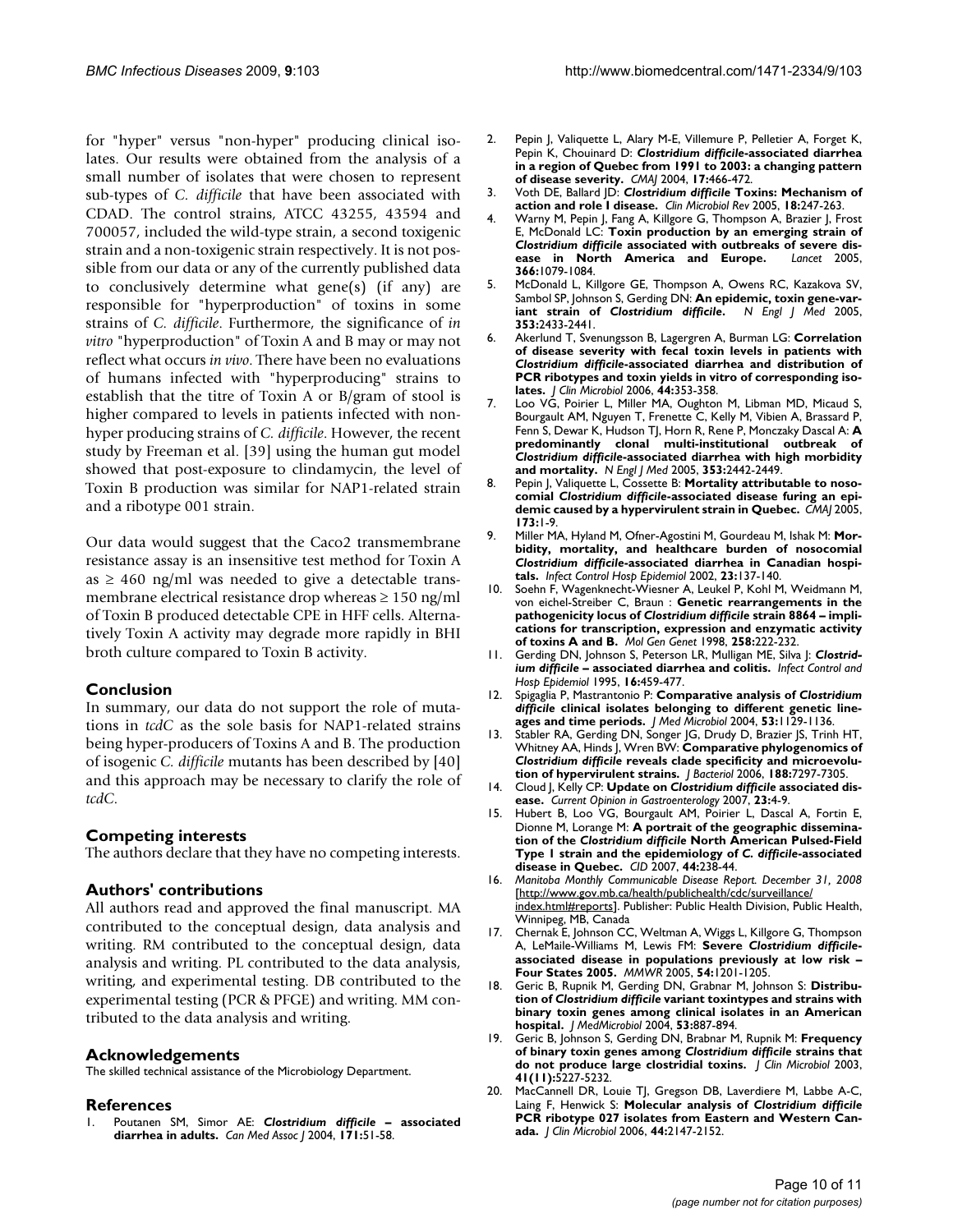for "hyper" versus "non-hyper" producing clinical isolates. Our results were obtained from the analysis of a small number of isolates that were chosen to represent sub-types of *C. difficile* that have been associated with CDAD. The control strains, ATCC 43255, 43594 and 700057, included the wild-type strain, a second toxigenic strain and a non-toxigenic strain respectively. It is not possible from our data or any of the currently published data to conclusively determine what gene(s) (if any) are responsible for "hyperproduction" of toxins in some strains of *C. difficile*. Furthermore, the significance of *in vitro* "hyperproduction" of Toxin A and B may or may not reflect what occurs *in vivo*. There have been no evaluations of humans infected with "hyperproducing" strains to establish that the titre of Toxin A or B/gram of stool is higher compared to levels in patients infected with nonhyper producing strains of *C. difficile*. However, the recent study by Freeman et al. [39] using the human gut model showed that post-exposure to clindamycin, the level of Toxin B production was similar for NAP1-related strain and a ribotype 001 strain.

Our data would suggest that the Caco2 transmembrane resistance assay is an insensitive test method for Toxin A as  $\geq$  460 ng/ml was needed to give a detectable transmembrane electrical resistance drop whereas  $\geq 150$  ng/ml of Toxin B produced detectable CPE in HFF cells. Alternatively Toxin A activity may degrade more rapidly in BHI broth culture compared to Toxin B activity.

# **Conclusion**

In summary, our data do not support the role of mutations in *tcdC* as the sole basis for NAP1-related strains being hyper-producers of Toxins A and B. The production of isogenic *C. difficile* mutants has been described by [40] and this approach may be necessary to clarify the role of *tcdC*.

# **Competing interests**

The authors declare that they have no competing interests.

#### **Authors' contributions**

All authors read and approved the final manuscript. MA contributed to the conceptual design, data analysis and writing. RM contributed to the conceptual design, data analysis and writing. PL contributed to the data analysis, writing, and experimental testing. DB contributed to the experimental testing (PCR & PFGE) and writing. MM contributed to the data analysis and writing.

#### **Acknowledgements**

The skilled technical assistance of the Microbiology Department.

#### **References**

1. Poutanen SM, Simor AE: *Clostridium difficile* **– associated diarrhea in adults.** *Can Med Assoc J* 2004, **171:**51-58.

- 2. Pepin J, Valiquette L, Alary M-E, Villemure P, Pelletier A, Forget K, Pepin K, Chouinard D: *Clostridium difficile***-associated diarrhea in a region of Quebec from 1991 to 2003: a changing pattern of disease severity.** *CMAJ* 2004, **17:**466-472.
- 3. Voth DE, Ballard JD: *Clostridium difficile* **[Toxins: Mechanism of](http://www.ncbi.nlm.nih.gov/entrez/query.fcgi?cmd=Retrieve&db=PubMed&dopt=Abstract&list_uids=15831824) [action and role I disease.](http://www.ncbi.nlm.nih.gov/entrez/query.fcgi?cmd=Retrieve&db=PubMed&dopt=Abstract&list_uids=15831824)** *Clin Microbiol Rev* 2005, **18:**247-263.
- 4. Warny M, Pepin J, Fang A, Killgore G, Thompson A, Brazier J, Frost E, McDonald LC: **Toxin production by an emerging strain of** *Clostridium difficile* **[associated with outbreaks of severe dis](http://www.ncbi.nlm.nih.gov/entrez/query.fcgi?cmd=Retrieve&db=PubMed&dopt=Abstract&list_uids=16182895)[ease in North America and Europe.](http://www.ncbi.nlm.nih.gov/entrez/query.fcgi?cmd=Retrieve&db=PubMed&dopt=Abstract&list_uids=16182895)** *Lancet* 2005, **366:**1079-1084.
- 5. McDonald L, Killgore GE, Thompson A, Owens RC, Kazakova SV, Sambol SP, Johnson S, Gerding DN: **An epidemic, toxin gene-variant strain of** *Clostridium difficile***[.](http://www.ncbi.nlm.nih.gov/entrez/query.fcgi?cmd=Retrieve&db=PubMed&dopt=Abstract&list_uids=16322603)** *N Engl J Med* 2005, **353:**2433-2441.
- 6. Akerlund T, Svenungsson B, Lagergren A, Burman LG: **Correlation of disease severity with fecal toxin levels in patients with** *Clostridium difficile***[-associated diarrhea and distribution of](http://www.ncbi.nlm.nih.gov/entrez/query.fcgi?cmd=Retrieve&db=PubMed&dopt=Abstract&list_uids=16455883) [PCR ribotypes and toxin yields in vitro of corresponding iso](http://www.ncbi.nlm.nih.gov/entrez/query.fcgi?cmd=Retrieve&db=PubMed&dopt=Abstract&list_uids=16455883)[lates.](http://www.ncbi.nlm.nih.gov/entrez/query.fcgi?cmd=Retrieve&db=PubMed&dopt=Abstract&list_uids=16455883)** *J Clin Microbiol* 2006, **44:**353-358.
- 7. Loo VG, Poirier L, Miller MA, Oughton M, Libman MD, Micaud S, Bourgault AM, Nguyen T, Frenette C, Kelly M, Vibien A, Brassard P, Fenn S, Dewar K, Hudson TJ, Horn R, Rene P, Monczaky Dascal A: **A predominantly clonal multi-institutional outbreak of** *Clostridium difficile***[-associated diarrhea with high morbidity](http://www.ncbi.nlm.nih.gov/entrez/query.fcgi?cmd=Retrieve&db=PubMed&dopt=Abstract&list_uids=16322602) [and mortality.](http://www.ncbi.nlm.nih.gov/entrez/query.fcgi?cmd=Retrieve&db=PubMed&dopt=Abstract&list_uids=16322602)** *N Engl J Med* 2005, **353:**2442-2449.
- 8. Pepin J, Valiquette L, Cossette B: **Mortality attributable to nosocomial** *Clostridium difficile***-associated disease furing an epidemic caused by a hypervirulent strain in Quebec.** *CMAJ* 2005, **173:**1-9.
- 9. Miller MA, Hyland M, Ofner-Agostini M, Gourdeau M, Ishak M: **Morbidity, mortality, and healthcare burden of nosocomial** *Clostridium difficile***[-associated diarrhea in Canadian hospi](http://www.ncbi.nlm.nih.gov/entrez/query.fcgi?cmd=Retrieve&db=PubMed&dopt=Abstract&list_uids=11918118)[tals.](http://www.ncbi.nlm.nih.gov/entrez/query.fcgi?cmd=Retrieve&db=PubMed&dopt=Abstract&list_uids=11918118)** *Infect Control Hosp Epidemiol* 2002, **23:**137-140.
- 10. Soehn F, Wagenknecht-Wiesner A, Leukel P, Kohl M, Weidmann M, von eichel-Streiber C, Braun : **Genetic rearrangements in the pathogenicity locus of** *Clostridium difficile* **[strain 8864 – impli](http://www.ncbi.nlm.nih.gov/entrez/query.fcgi?cmd=Retrieve&db=PubMed&dopt=Abstract&list_uids=9645428)[cations for transcription, expression and enzymatic activity](http://www.ncbi.nlm.nih.gov/entrez/query.fcgi?cmd=Retrieve&db=PubMed&dopt=Abstract&list_uids=9645428) [of toxins A and B.](http://www.ncbi.nlm.nih.gov/entrez/query.fcgi?cmd=Retrieve&db=PubMed&dopt=Abstract&list_uids=9645428)** *Mol Gen Genet* 1998, **258:**222-232.
- 11. Gerding DN, Johnson S, Peterson LR, Mulligan ME, Silva J: *Clostridium difficile* **– associated diarrhea and colitis.** *Infect Control and Hosp Epidemiol* 1995, **16:**459-477.
- 12. Spigaglia P, Mastrantonio P: **Comparative analysis of** *Clostridium difficile* **[clinical isolates belonging to different genetic line](http://www.ncbi.nlm.nih.gov/entrez/query.fcgi?cmd=Retrieve&db=PubMed&dopt=Abstract&list_uids=15496392)[ages and time periods.](http://www.ncbi.nlm.nih.gov/entrez/query.fcgi?cmd=Retrieve&db=PubMed&dopt=Abstract&list_uids=15496392)** *J Med Microbiol* 2004, **53:**1129-1136.
- 13. Stabler RA, Gerding DN, Songer JG, Drudy D, Brazier JS, Trinh HT, Whitney AA, Hinds J, Wren BW: **Comparative phylogenomics of** *Clostridium difficile* **[reveals clade specificity and microevolu](http://www.ncbi.nlm.nih.gov/entrez/query.fcgi?cmd=Retrieve&db=PubMed&dopt=Abstract&list_uids=17015669)[tion of hypervirulent strains.](http://www.ncbi.nlm.nih.gov/entrez/query.fcgi?cmd=Retrieve&db=PubMed&dopt=Abstract&list_uids=17015669)** *J Bacteriol* 2006, **188:**7297-7305.
- 14. Cloud J, Kelly CP: **Update on** *Clostridium difficile* **[associated dis](http://www.ncbi.nlm.nih.gov/entrez/query.fcgi?cmd=Retrieve&db=PubMed&dopt=Abstract&list_uids=17133077)[ease.](http://www.ncbi.nlm.nih.gov/entrez/query.fcgi?cmd=Retrieve&db=PubMed&dopt=Abstract&list_uids=17133077)** *Current Opinion in Gastroenterology* 2007, **23:**4-9.
- 15. Hubert B, Loo VG, Bourgault AM, Poirier L, Dascal A, Fortin E, Dionne M, Lorange M: **A portrait of the geographic dissemination of the** *Clostridium difficile* **North American Pulsed-Field Type 1 strain and the epidemiology of** *C. difficile***-associated disease in Quebec.** *CID* 2007, **44:**238-44.
- 16. *Manitoba Monthly Communicable Disease Report. December 31, 2008* [[http://www.gov.mb.ca/health/publichealth/cdc/surveillance/](http://www.gov.mb.ca/health/publichealth/cdc/surveillance/index.html#reports) [index.html#reports](http://www.gov.mb.ca/health/publichealth/cdc/surveillance/index.html#reports)]. Publisher: Public Health Division, Public Health, Winnipeg, MB, Canada
- <span id="page-9-0"></span>17. Chernak E, Johnson CC, Weltman A, Wiggs L, Killgore G, Thompson A, LeMaile-Williams M, Lewis FM: **Severe** *Clostridium difficile***[associated disease in populations previously at low risk –](http://www.ncbi.nlm.nih.gov/entrez/query.fcgi?cmd=Retrieve&db=PubMed&dopt=Abstract&list_uids=16319813) [Four States 2005.](http://www.ncbi.nlm.nih.gov/entrez/query.fcgi?cmd=Retrieve&db=PubMed&dopt=Abstract&list_uids=16319813)** *MMWR* 2005, **54:**1201-1205.
- 18. Geric B, Rupnik M, Gerding DN, Grabnar M, Johnson S: **Distribution of** *Clostridium difficile* **variant toxintypes and strains with binary toxin genes among clinical isolates in an American hospital.** *J MedMicrobiol* 2004, **53:**887-894.
- 19. Geric B, Johnson S, Gerding DN, Brabnar M, Rupnik M: **Frequency of binary toxin genes among** *Clostridium difficile* **[strains that](http://www.ncbi.nlm.nih.gov/entrez/query.fcgi?cmd=Retrieve&db=PubMed&dopt=Abstract&list_uids=14605169) [do not produce large clostridial toxins.](http://www.ncbi.nlm.nih.gov/entrez/query.fcgi?cmd=Retrieve&db=PubMed&dopt=Abstract&list_uids=14605169)** *J Clin Microbiol* 2003, **41(11):**5227-5232.
- 20. MacCannell DR, Louie TJ, Gregson DB, Laverdiere M, Labbe A-C, Laing F, Henwick S: **Molecular analysis of** *Clostridium difficile* **[PCR ribotype 027 isolates from Eastern and Western Can](http://www.ncbi.nlm.nih.gov/entrez/query.fcgi?cmd=Retrieve&db=PubMed&dopt=Abstract&list_uids=16757612)[ada.](http://www.ncbi.nlm.nih.gov/entrez/query.fcgi?cmd=Retrieve&db=PubMed&dopt=Abstract&list_uids=16757612)** *J Clin Microbiol* 2006, **44:**2147-2152.